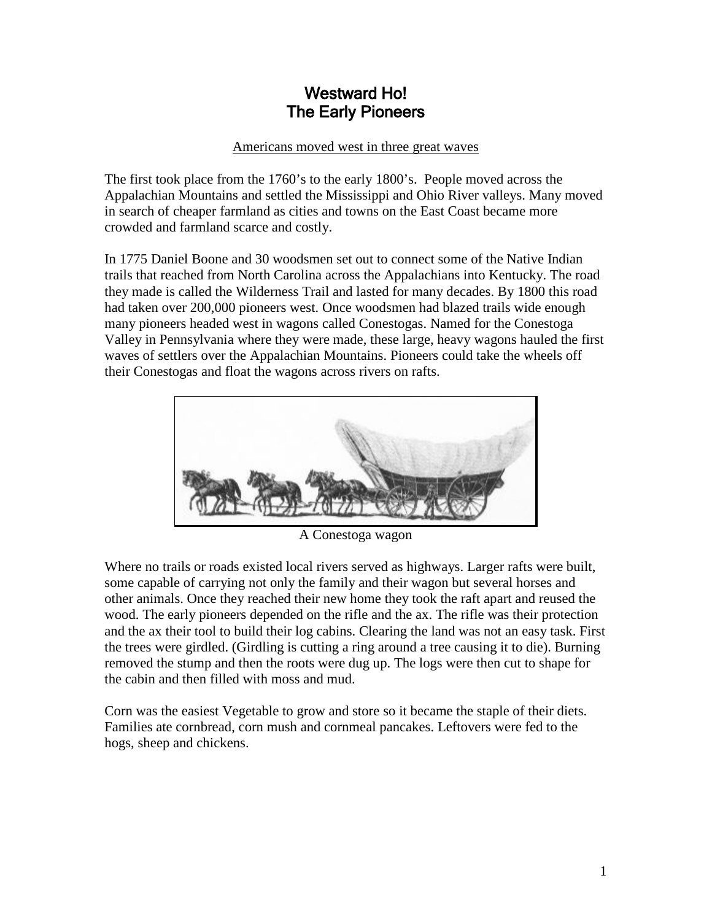## Westward Ho! The Early Pioneers

## Americans moved west in three great waves

The first took place from the 1760's to the early 1800's. People moved across the Appalachian Mountains and settled the Mississippi and Ohio River valleys. Many moved in search of cheaper farmland as cities and towns on the East Coast became more crowded and farmland scarce and costly.

In 1775 Daniel Boone and 30 woodsmen set out to connect some of the Native Indian trails that reached from North Carolina across the Appalachians into Kentucky. The road they made is called the Wilderness Trail and lasted for many decades. By 1800 this road had taken over 200,000 pioneers west. Once woodsmen had blazed trails wide enough many pioneers headed west in wagons called Conestogas. Named for the Conestoga Valley in Pennsylvania where they were made, these large, heavy wagons hauled the first waves of settlers over the Appalachian Mountains. Pioneers could take the wheels off their Conestogas and float the wagons across rivers on rafts.



A Conestoga wagon

Where no trails or roads existed local rivers served as highways. Larger rafts were built, some capable of carrying not only the family and their wagon but several horses and other animals. Once they reached their new home they took the raft apart and reused the wood. The early pioneers depended on the rifle and the ax. The rifle was their protection and the ax their tool to build their log cabins. Clearing the land was not an easy task. First the trees were girdled. (Girdling is cutting a ring around a tree causing it to die). Burning removed the stump and then the roots were dug up. The logs were then cut to shape for the cabin and then filled with moss and mud.

Corn was the easiest Vegetable to grow and store so it became the staple of their diets. Families ate cornbread, corn mush and cornmeal pancakes. Leftovers were fed to the hogs, sheep and chickens.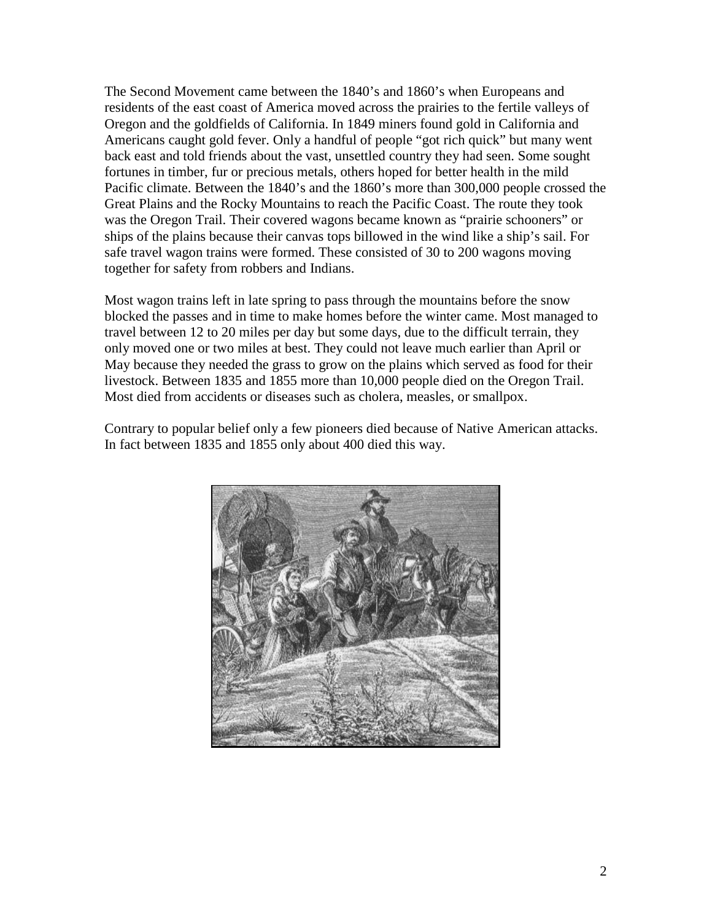The Second Movement came between the 1840's and 1860's when Europeans and residents of the east coast of America moved across the prairies to the fertile valleys of Oregon and the goldfields of California. In 1849 miners found gold in California and Americans caught gold fever. Only a handful of people "got rich quick" but many went back east and told friends about the vast, unsettled country they had seen. Some sought fortunes in timber, fur or precious metals, others hoped for better health in the mild Pacific climate. Between the 1840's and the 1860's more than 300,000 people crossed the Great Plains and the Rocky Mountains to reach the Pacific Coast. The route they took was the Oregon Trail. Their covered wagons became known as "prairie schooners" or ships of the plains because their canvas tops billowed in the wind like a ship's sail. For safe travel wagon trains were formed. These consisted of 30 to 200 wagons moving together for safety from robbers and Indians.

Most wagon trains left in late spring to pass through the mountains before the snow blocked the passes and in time to make homes before the winter came. Most managed to travel between 12 to 20 miles per day but some days, due to the difficult terrain, they only moved one or two miles at best. They could not leave much earlier than April or May because they needed the grass to grow on the plains which served as food for their livestock. Between 1835 and 1855 more than 10,000 people died on the Oregon Trail. Most died from accidents or diseases such as cholera, measles, or smallpox.

Contrary to popular belief only a few pioneers died because of Native American attacks. In fact between 1835 and 1855 only about 400 died this way.

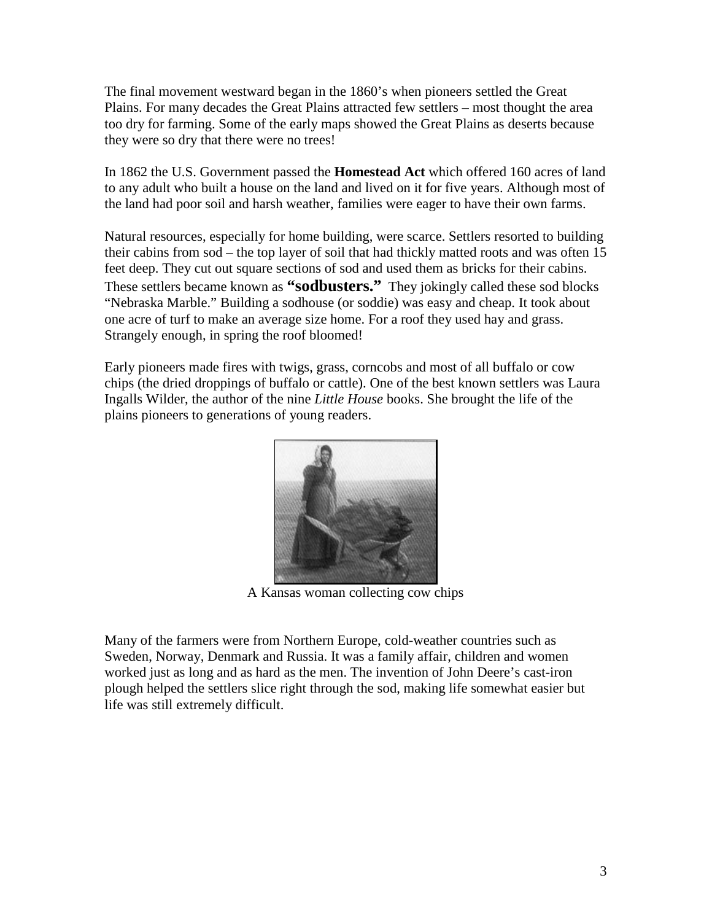The final movement westward began in the 1860's when pioneers settled the Great Plains. For many decades the Great Plains attracted few settlers – most thought the area too dry for farming. Some of the early maps showed the Great Plains as deserts because they were so dry that there were no trees!

In 1862 the U.S. Government passed the **Homestead Act** which offered 160 acres of land to any adult who built a house on the land and lived on it for five years. Although most of the land had poor soil and harsh weather, families were eager to have their own farms.

Natural resources, especially for home building, were scarce. Settlers resorted to building their cabins from sod – the top layer of soil that had thickly matted roots and was often 15 feet deep. They cut out square sections of sod and used them as bricks for their cabins. These settlers became known as **"sodbusters."** They jokingly called these sod blocks "Nebraska Marble." Building a sodhouse (or soddie) was easy and cheap. It took about one acre of turf to make an average size home. For a roof they used hay and grass. Strangely enough, in spring the roof bloomed!

Early pioneers made fires with twigs, grass, corncobs and most of all buffalo or cow chips (the dried droppings of buffalo or cattle). One of the best known settlers was Laura Ingalls Wilder, the author of the nine *Little House* books. She brought the life of the plains pioneers to generations of young readers.



A Kansas woman collecting cow chips

Many of the farmers were from Northern Europe, cold-weather countries such as Sweden, Norway, Denmark and Russia. It was a family affair, children and women worked just as long and as hard as the men. The invention of John Deere's cast-iron plough helped the settlers slice right through the sod, making life somewhat easier but life was still extremely difficult.